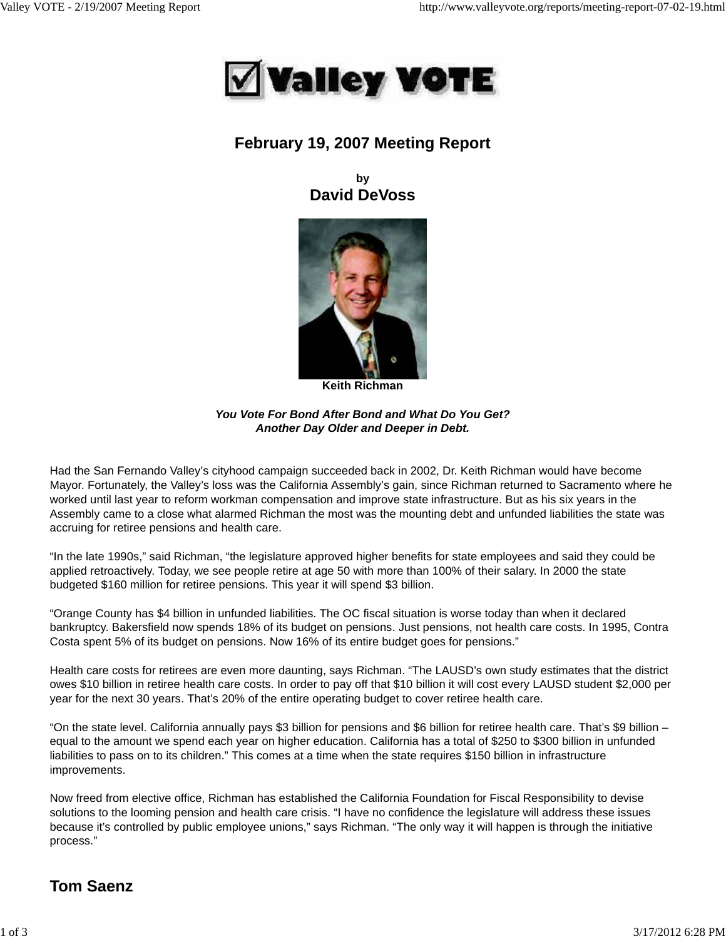

## **February 19, 2007 Meeting Report**

**by David DeVoss**



**Keith Richman**

*You Vote For Bond After Bond and What Do You Get? Another Day Older and Deeper in Debt.*

Had the San Fernando Valley's cityhood campaign succeeded back in 2002, Dr. Keith Richman would have become Mayor. Fortunately, the Valley's loss was the California Assembly's gain, since Richman returned to Sacramento where he worked until last year to reform workman compensation and improve state infrastructure. But as his six years in the Assembly came to a close what alarmed Richman the most was the mounting debt and unfunded liabilities the state was accruing for retiree pensions and health care.

"In the late 1990s," said Richman, "the legislature approved higher benefits for state employees and said they could be applied retroactively. Today, we see people retire at age 50 with more than 100% of their salary. In 2000 the state budgeted \$160 million for retiree pensions. This year it will spend \$3 billion.

"Orange County has \$4 billion in unfunded liabilities. The OC fiscal situation is worse today than when it declared bankruptcy. Bakersfield now spends 18% of its budget on pensions. Just pensions, not health care costs. In 1995, Contra Costa spent 5% of its budget on pensions. Now 16% of its entire budget goes for pensions."

Health care costs for retirees are even more daunting, says Richman. "The LAUSD's own study estimates that the district owes \$10 billion in retiree health care costs. In order to pay off that \$10 billion it will cost every LAUSD student \$2,000 per year for the next 30 years. That's 20% of the entire operating budget to cover retiree health care.

"On the state level. California annually pays \$3 billion for pensions and \$6 billion for retiree health care. That's \$9 billion – equal to the amount we spend each year on higher education. California has a total of \$250 to \$300 billion in unfunded liabilities to pass on to its children." This comes at a time when the state requires \$150 billion in infrastructure improvements.

Now freed from elective office, Richman has established the California Foundation for Fiscal Responsibility to devise solutions to the looming pension and health care crisis. "I have no confidence the legislature will address these issues because it's controlled by public employee unions," says Richman. "The only way it will happen is through the initiative process."

# **Tom Saenz**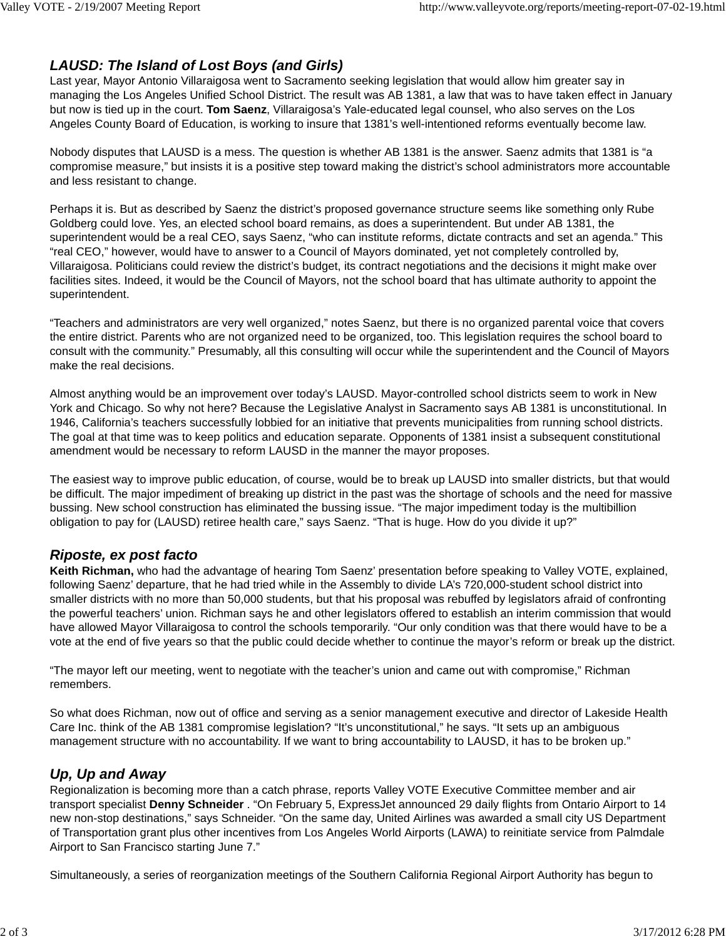### *LAUSD: The Island of Lost Boys (and Girls)*

Last year, Mayor Antonio Villaraigosa went to Sacramento seeking legislation that would allow him greater say in managing the Los Angeles Unified School District. The result was AB 1381, a law that was to have taken effect in January but now is tied up in the court. **Tom Saenz**, Villaraigosa's Yale-educated legal counsel, who also serves on the Los Angeles County Board of Education, is working to insure that 1381's well-intentioned reforms eventually become law.

Nobody disputes that LAUSD is a mess. The question is whether AB 1381 is the answer. Saenz admits that 1381 is "a compromise measure," but insists it is a positive step toward making the district's school administrators more accountable and less resistant to change.

Perhaps it is. But as described by Saenz the district's proposed governance structure seems like something only Rube Goldberg could love. Yes, an elected school board remains, as does a superintendent. But under AB 1381, the superintendent would be a real CEO, says Saenz, "who can institute reforms, dictate contracts and set an agenda." This "real CEO," however, would have to answer to a Council of Mayors dominated, yet not completely controlled by, Villaraigosa. Politicians could review the district's budget, its contract negotiations and the decisions it might make over facilities sites. Indeed, it would be the Council of Mayors, not the school board that has ultimate authority to appoint the superintendent.

"Teachers and administrators are very well organized," notes Saenz, but there is no organized parental voice that covers the entire district. Parents who are not organized need to be organized, too. This legislation requires the school board to consult with the community." Presumably, all this consulting will occur while the superintendent and the Council of Mayors make the real decisions.

Almost anything would be an improvement over today's LAUSD. Mayor-controlled school districts seem to work in New York and Chicago. So why not here? Because the Legislative Analyst in Sacramento says AB 1381 is unconstitutional. In 1946, California's teachers successfully lobbied for an initiative that prevents municipalities from running school districts. The goal at that time was to keep politics and education separate. Opponents of 1381 insist a subsequent constitutional amendment would be necessary to reform LAUSD in the manner the mayor proposes.

The easiest way to improve public education, of course, would be to break up LAUSD into smaller districts, but that would be difficult. The major impediment of breaking up district in the past was the shortage of schools and the need for massive bussing. New school construction has eliminated the bussing issue. "The major impediment today is the multibillion obligation to pay for (LAUSD) retiree health care," says Saenz. "That is huge. How do you divide it up?"

### *Riposte, ex post facto*

**Keith Richman,** who had the advantage of hearing Tom Saenz' presentation before speaking to Valley VOTE, explained, following Saenz' departure, that he had tried while in the Assembly to divide LA's 720,000-student school district into smaller districts with no more than 50,000 students, but that his proposal was rebuffed by legislators afraid of confronting the powerful teachers' union. Richman says he and other legislators offered to establish an interim commission that would have allowed Mayor Villaraigosa to control the schools temporarily. "Our only condition was that there would have to be a vote at the end of five years so that the public could decide whether to continue the mayor's reform or break up the district.

"The mayor left our meeting, went to negotiate with the teacher's union and came out with compromise," Richman remembers.

So what does Richman, now out of office and serving as a senior management executive and director of Lakeside Health Care Inc. think of the AB 1381 compromise legislation? "It's unconstitutional," he says. "It sets up an ambiguous management structure with no accountability. If we want to bring accountability to LAUSD, it has to be broken up."

## *Up, Up and Away*

Regionalization is becoming more than a catch phrase, reports Valley VOTE Executive Committee member and air transport specialist **Denny Schneider** . "On February 5, ExpressJet announced 29 daily flights from Ontario Airport to 14 new non-stop destinations," says Schneider. "On the same day, United Airlines was awarded a small city US Department of Transportation grant plus other incentives from Los Angeles World Airports (LAWA) to reinitiate service from Palmdale Airport to San Francisco starting June 7."

Simultaneously, a series of reorganization meetings of the Southern California Regional Airport Authority has begun to